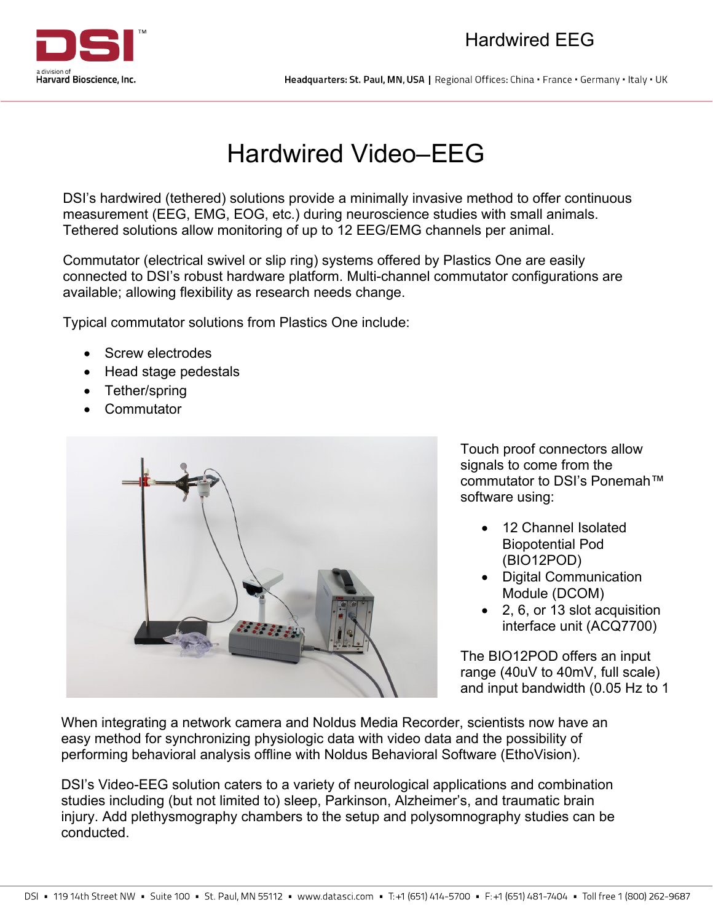

Headquarters: St. Paul, MN, USA | Regional Offices: China · France · Germany · Italy · UK

## Hardwired Video–EEG

DSI's hardwired (tethered) solutions provide a minimally invasive method to offer continuous measurement (EEG, EMG, EOG, etc.) during neuroscience studies with small animals. Tethered solutions allow monitoring of up to 12 EEG/EMG channels per animal.

Commutator (electrical swivel or slip ring) systems offered by Plastics One are easily connected to DSI's robust hardware platform. Multi-channel commutator configurations are available; allowing flexibility as research needs change.

Typical commutator solutions from Plastics One include:

- Screw electrodes
- Head stage pedestals
- Tether/spring
- **Commutator**



Touch proof connectors allow signals to come from the commutator to DSI's Ponemah™ software using:

- 12 Channel Isolated Biopotential Pod (BIO12POD)
- Digital Communication Module (DCOM)
- 2, 6, or 13 slot acquisition interface unit (ACQ7700)

The BIO12POD offers an input range (40uV to 40mV, full scale) and input bandwidth (0.05 Hz to 1

 When integrating a network camera and Noldus Media Recorder, scientists now have an easy method for synchronizing physiologic data with video data and the possibility of performing behavioral analysis offline with Noldus Behavioral Software (EthoVision).

l,  $\overline{\phantom{a}}$  injury. Add plethysmography chambers to the setup and polysomnography studies can be י<br>י conducted.DSI's Video-EEG solution caters to a variety of neurological applications and combination studies including (but not limited to) sleep, Parkinson, Alzheimer's, and traumatic brain